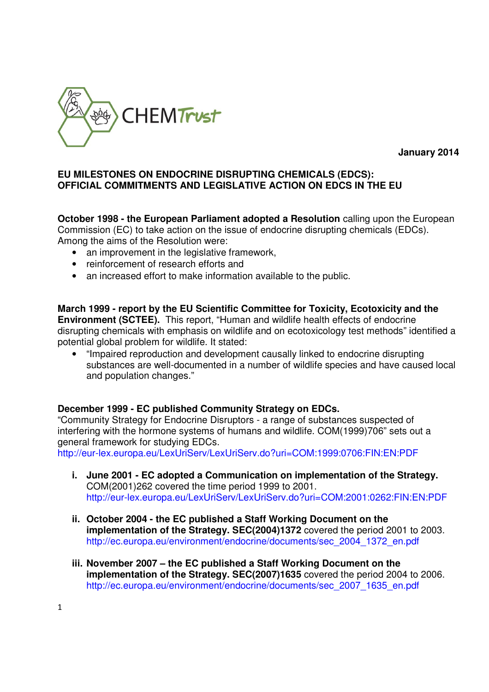

**January 2014** 

#### **EU MILESTONES ON ENDOCRINE DISRUPTING CHEMICALS (EDCS): OFFICIAL COMMITMENTS AND LEGISLATIVE ACTION ON EDCS IN THE EU**

**October 1998 - the European Parliament adopted a Resolution** calling upon the European Commission (EC) to take action on the issue of endocrine disrupting chemicals (EDCs). Among the aims of the Resolution were:

- an improvement in the legislative framework,
- reinforcement of research efforts and
- an increased effort to make information available to the public.

**March 1999 - report by the EU Scientific Committee for Toxicity, Ecotoxicity and the Environment (SCTEE).** This report, "Human and wildlife health effects of endocrine disrupting chemicals with emphasis on wildlife and on ecotoxicology test methods" identified a potential global problem for wildlife. It stated:

• "Impaired reproduction and development causally linked to endocrine disrupting substances are well-documented in a number of wildlife species and have caused local and population changes."

## **December 1999 - EC published Community Strategy on EDCs.**

"Community Strategy for Endocrine Disruptors - a range of substances suspected of interfering with the hormone systems of humans and wildlife. COM(1999)706" sets out a general framework for studying EDCs.

http://eur-lex.europa.eu/LexUriServ/LexUriServ.do?uri=COM:1999:0706:FIN:EN:PDF

- **i. June 2001 EC adopted a Communication on implementation of the Strategy.**  COM(2001)262 covered the time period 1999 to 2001. http://eur-lex.europa.eu/LexUriServ/LexUriServ.do?uri=COM:2001:0262:FIN:EN:PDF
- **ii. October 2004 the EC published a Staff Working Document on the implementation of the Strategy. SEC(2004)1372** covered the period 2001 to 2003. http://ec.europa.eu/environment/endocrine/documents/sec\_2004\_1372\_en.pdf
- **iii. November 2007 the EC published a Staff Working Document on the implementation of the Strategy. SEC(2007)1635** covered the period 2004 to 2006. http://ec.europa.eu/environment/endocrine/documents/sec\_2007\_1635\_en.pdf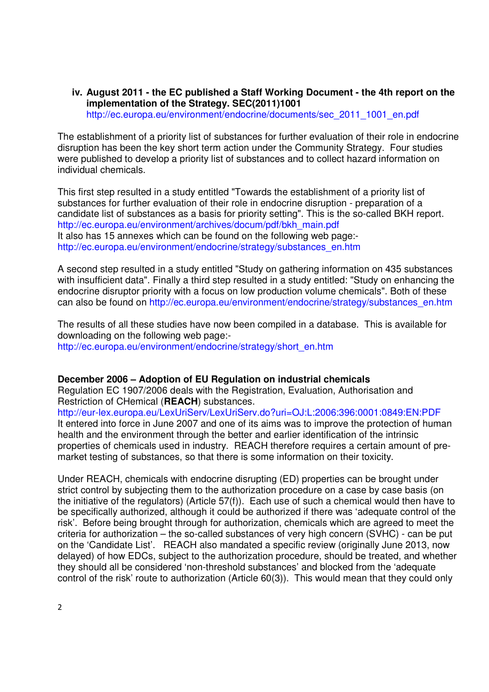**iv. August 2011 - the EC published a Staff Working Document - the 4th report on the implementation of the Strategy. SEC(2011)1001** http://ec.europa.eu/environment/endocrine/documents/sec\_2011\_1001\_en.pdf

The establishment of a priority list of substances for further evaluation of their role in endocrine disruption has been the key short term action under the Community Strategy. Four studies were published to develop a priority list of substances and to collect hazard information on individual chemicals.

This first step resulted in a study entitled "Towards the establishment of a priority list of substances for further evaluation of their role in endocrine disruption - preparation of a candidate list of substances as a basis for priority setting". This is the so-called BKH report. http://ec.europa.eu/environment/archives/docum/pdf/bkh\_main.pdf It also has 15 annexes which can be found on the following web page: http://ec.europa.eu/environment/endocrine/strategy/substances\_en.htm

A second step resulted in a study entitled "Study on gathering information on 435 substances with insufficient data". Finally a third step resulted in a study entitled: "Study on enhancing the endocrine disruptor priority with a focus on low production volume chemicals". Both of these can also be found on http://ec.europa.eu/environment/endocrine/strategy/substances\_en.htm

The results of all these studies have now been compiled in a database. This is available for downloading on the following web page: http://ec.europa.eu/environment/endocrine/strategy/short\_en.htm

## **December 2006 – Adoption of EU Regulation on industrial chemicals**

Regulation EC 1907/2006 deals with the Registration, Evaluation, Authorisation and Restriction of CHemical (**REACH**) substances.

http://eur-lex.europa.eu/LexUriServ/LexUriServ.do?uri=OJ:L:2006:396:0001:0849:EN:PDF It entered into force in June 2007 and one of its aims was to improve the protection of human health and the environment through the better and earlier identification of the intrinsic properties of chemicals used in industry. REACH therefore requires a certain amount of premarket testing of substances, so that there is some information on their toxicity.

Under REACH, chemicals with endocrine disrupting (ED) properties can be brought under strict control by subjecting them to the authorization procedure on a case by case basis (on the initiative of the regulators) (Article 57(f)). Each use of such a chemical would then have to be specifically authorized, although it could be authorized if there was 'adequate control of the risk'. Before being brought through for authorization, chemicals which are agreed to meet the criteria for authorization – the so-called substances of very high concern (SVHC) - can be put on the 'Candidate List'. REACH also mandated a specific review (originally June 2013, now delayed) of how EDCs, subject to the authorization procedure, should be treated, and whether they should all be considered 'non-threshold substances' and blocked from the 'adequate control of the risk' route to authorization (Article 60(3)). This would mean that they could only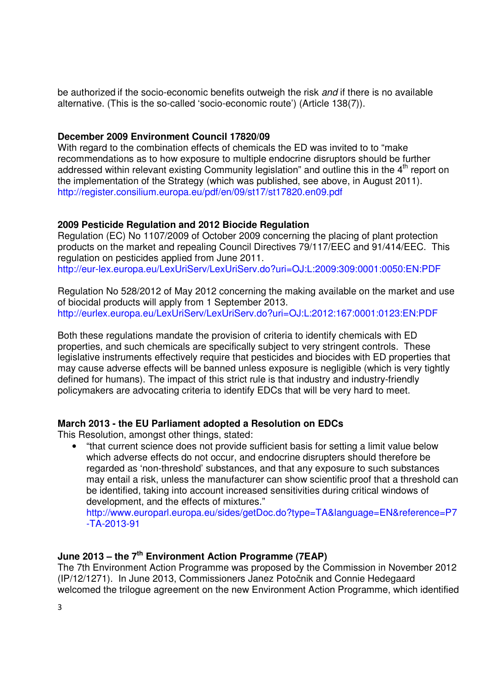be authorized if the socio-economic benefits outweigh the risk and if there is no available alternative. (This is the so-called 'socio-economic route') (Article 138(7)).

## **December 2009 Environment Council 17820/09**

With regard to the combination effects of chemicals the ED was invited to to "make" recommendations as to how exposure to multiple endocrine disruptors should be further addressed within relevant existing Community legislation" and outline this in the 4<sup>th</sup> report on the implementation of the Strategy (which was published, see above, in August 2011). http://register.consilium.europa.eu/pdf/en/09/st17/st17820.en09.pdf

# **2009 Pesticide Regulation and 2012 Biocide Regulation**

Regulation (EC) No 1107/2009 of October 2009 concerning the placing of plant protection products on the market and repealing Council Directives 79/117/EEC and 91/414/EEC. This regulation on pesticides applied from June 2011. http://eur-lex.europa.eu/LexUriServ/LexUriServ.do?uri=OJ:L:2009:309:0001:0050:EN:PDF

Regulation No 528/2012 of May 2012 concerning the making available on the market and use of biocidal products will apply from 1 September 2013. http://eurlex.europa.eu/LexUriServ/LexUriServ.do?uri=OJ:L:2012:167:0001:0123:EN:PDF

Both these regulations mandate the provision of criteria to identify chemicals with ED properties, and such chemicals are specifically subject to very stringent controls. These legislative instruments effectively require that pesticides and biocides with ED properties that may cause adverse effects will be banned unless exposure is negligible (which is very tightly defined for humans). The impact of this strict rule is that industry and industry-friendly policymakers are advocating criteria to identify EDCs that will be very hard to meet.

## **March 2013 - the EU Parliament adopted a Resolution on EDCs**

This Resolution, amongst other things, stated:

• "that current science does not provide sufficient basis for setting a limit value below which adverse effects do not occur, and endocrine disrupters should therefore be regarded as 'non-threshold' substances, and that any exposure to such substances may entail a risk, unless the manufacturer can show scientific proof that a threshold can be identified, taking into account increased sensitivities during critical windows of development, and the effects of mixtures."

http://www.europarl.europa.eu/sides/getDoc.do?type=TA&language=EN&reference=P7 -TA-2013-91

# **June 2013 – the 7th Environment Action Programme (7EAP)**

The 7th Environment Action Programme was proposed by the Commission in November 2012 (IP/12/1271). In June 2013, Commissioners Janez Potočnik and Connie Hedegaard welcomed the trilogue agreement on the new Environment Action Programme, which identified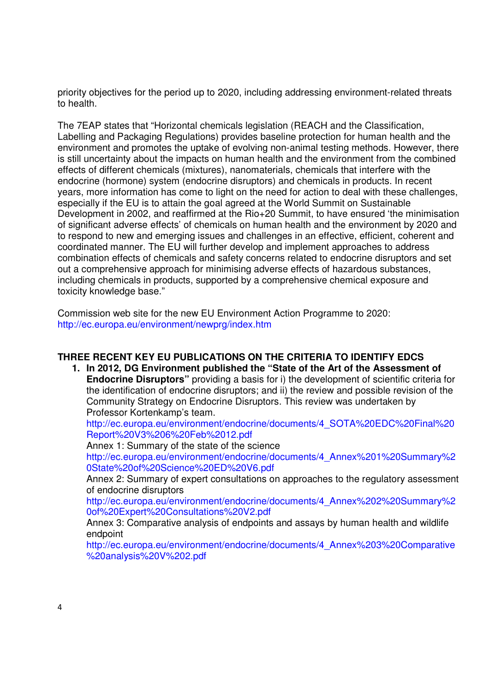priority objectives for the period up to 2020, including addressing environment-related threats to health.

The 7EAP states that "Horizontal chemicals legislation (REACH and the Classification, Labelling and Packaging Regulations) provides baseline protection for human health and the environment and promotes the uptake of evolving non-animal testing methods. However, there is still uncertainty about the impacts on human health and the environment from the combined effects of different chemicals (mixtures), nanomaterials, chemicals that interfere with the endocrine (hormone) system (endocrine disruptors) and chemicals in products. In recent years, more information has come to light on the need for action to deal with these challenges, especially if the EU is to attain the goal agreed at the World Summit on Sustainable Development in 2002, and reaffirmed at the Rio+20 Summit, to have ensured 'the minimisation of significant adverse effects' of chemicals on human health and the environment by 2020 and to respond to new and emerging issues and challenges in an effective, efficient, coherent and coordinated manner. The EU will further develop and implement approaches to address combination effects of chemicals and safety concerns related to endocrine disruptors and set out a comprehensive approach for minimising adverse effects of hazardous substances, including chemicals in products, supported by a comprehensive chemical exposure and toxicity knowledge base."

Commission web site for the new EU Environment Action Programme to 2020: http://ec.europa.eu/environment/newprg/index.htm

# **THREE RECENT KEY EU PUBLICATIONS ON THE CRITERIA TO IDENTIFY EDCS**

**1. In 2012, DG Environment published the "State of the Art of the Assessment of Endocrine Disruptors"** providing a basis for i) the development of scientific criteria for the identification of endocrine disruptors; and ii) the review and possible revision of the Community Strategy on Endocrine Disruptors. This review was undertaken by Professor Kortenkamp's team.

http://ec.europa.eu/environment/endocrine/documents/4\_SOTA%20EDC%20Final%20 Report%20V3%206%20Feb%2012.pdf

Annex 1: Summary of the state of the science

http://ec.europa.eu/environment/endocrine/documents/4\_Annex%201%20Summary%2 0State%20of%20Science%20ED%20V6.pdf

Annex 2: Summary of expert consultations on approaches to the regulatory assessment of endocrine disruptors

http://ec.europa.eu/environment/endocrine/documents/4\_Annex%202%20Summary%2 0of%20Expert%20Consultations%20V2.pdf

Annex 3: Comparative analysis of endpoints and assays by human health and wildlife endpoint

http://ec.europa.eu/environment/endocrine/documents/4\_Annex%203%20Comparative %20analysis%20V%202.pdf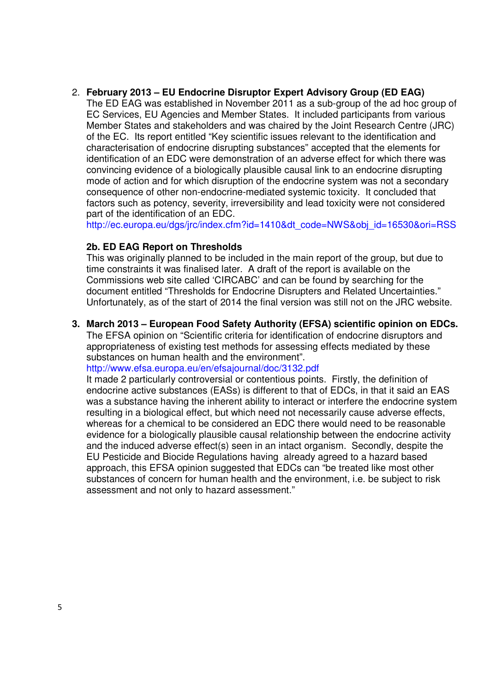#### 2. **February 2013 – EU Endocrine Disruptor Expert Advisory Group (ED EAG)**

The ED EAG was established in November 2011 as a sub-group of the ad hoc group of EC Services, EU Agencies and Member States. It included participants from various Member States and stakeholders and was chaired by the Joint Research Centre (JRC) of the EC. Its report entitled "Key scientific issues relevant to the identification and characterisation of endocrine disrupting substances" accepted that the elements for identification of an EDC were demonstration of an adverse effect for which there was convincing evidence of a biologically plausible causal link to an endocrine disrupting mode of action and for which disruption of the endocrine system was not a secondary consequence of other non-endocrine-mediated systemic toxicity. It concluded that factors such as potency, severity, irreversibility and lead toxicity were not considered part of the identification of an EDC.

http://ec.europa.eu/dgs/jrc/index.cfm?id=1410&dt\_code=NWS&obj\_id=16530&ori=RSS

## **2b. ED EAG Report on Thresholds**

This was originally planned to be included in the main report of the group, but due to time constraints it was finalised later. A draft of the report is available on the Commissions web site called 'CIRCABC' and can be found by searching for the document entitled "Thresholds for Endocrine Disrupters and Related Uncertainties." Unfortunately, as of the start of 2014 the final version was still not on the JRC website.

## **3. March 2013 – European Food Safety Authority (EFSA) scientific opinion on EDCs.**

The EFSA opinion on "Scientific criteria for identification of endocrine disruptors and appropriateness of existing test methods for assessing effects mediated by these substances on human health and the environment".

http://www.efsa.europa.eu/en/efsajournal/doc/3132.pdf

It made 2 particularly controversial or contentious points. Firstly, the definition of endocrine active substances (EASs) is different to that of EDCs, in that it said an EAS was a substance having the inherent ability to interact or interfere the endocrine system resulting in a biological effect, but which need not necessarily cause adverse effects, whereas for a chemical to be considered an EDC there would need to be reasonable evidence for a biologically plausible causal relationship between the endocrine activity and the induced adverse effect(s) seen in an intact organism. Secondly, despite the EU Pesticide and Biocide Regulations having already agreed to a hazard based approach, this EFSA opinion suggested that EDCs can "be treated like most other substances of concern for human health and the environment, i.e. be subject to risk assessment and not only to hazard assessment."